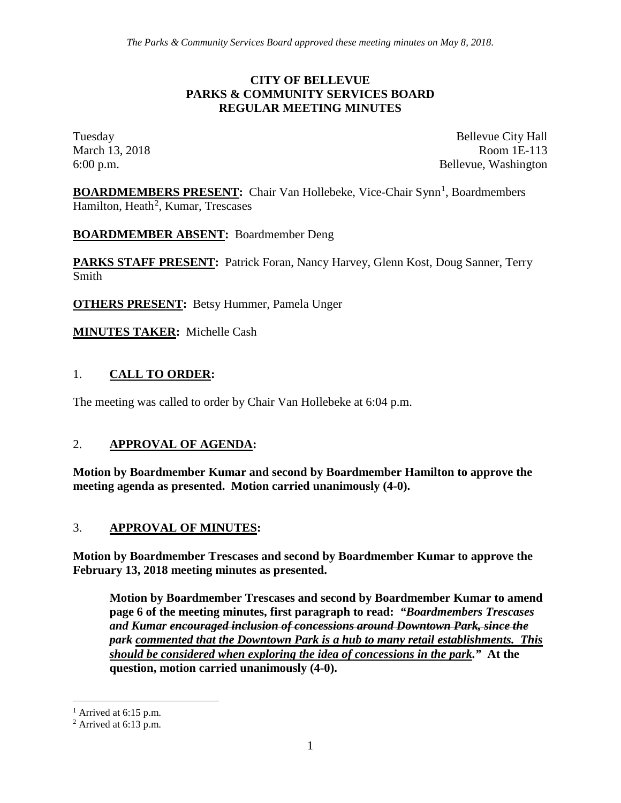#### **CITY OF BELLEVUE PARKS & COMMUNITY SERVICES BOARD REGULAR MEETING MINUTES**

Tuesday Bellevue City Hall March 13, 2018 Room 1E-113 6:00 p.m. Bellevue, Washington

**BOARDMEMBERS PRESENT:** Chair Van Hollebeke, Vice-Chair Synn<sup>[1](#page-0-0)</sup>, Boardmembers Hamilton, Heath<sup>[2](#page-0-1)</sup>, Kumar, Trescases

**BOARDMEMBER ABSENT:** Boardmember Deng

**PARKS STAFF PRESENT:** Patrick Foran, Nancy Harvey, Glenn Kost, Doug Sanner, Terry Smith

**OTHERS PRESENT:** Betsy Hummer, Pamela Unger

**MINUTES TAKER:** Michelle Cash

## 1. **CALL TO ORDER:**

The meeting was called to order by Chair Van Hollebeke at 6:04 p.m.

## 2. **APPROVAL OF AGENDA:**

**Motion by Boardmember Kumar and second by Boardmember Hamilton to approve the meeting agenda as presented. Motion carried unanimously (4-0).**

#### 3. **APPROVAL OF MINUTES:**

**Motion by Boardmember Trescases and second by Boardmember Kumar to approve the February 13, 2018 meeting minutes as presented.** 

**Motion by Boardmember Trescases and second by Boardmember Kumar to amend page 6 of the meeting minutes, first paragraph to read:** *"Boardmembers Trescases and Kumar encouraged inclusion of concessions around Downtown Park, since the park commented that the Downtown Park is a hub to many retail establishments. This should be considered when exploring the idea of concessions in the park."* **At the question, motion carried unanimously (4-0).**

<span id="page-0-0"></span> $<sup>1</sup>$  Arrived at 6:15 p.m.</sup>

<span id="page-0-1"></span> $2$  Arrived at 6:13 p.m.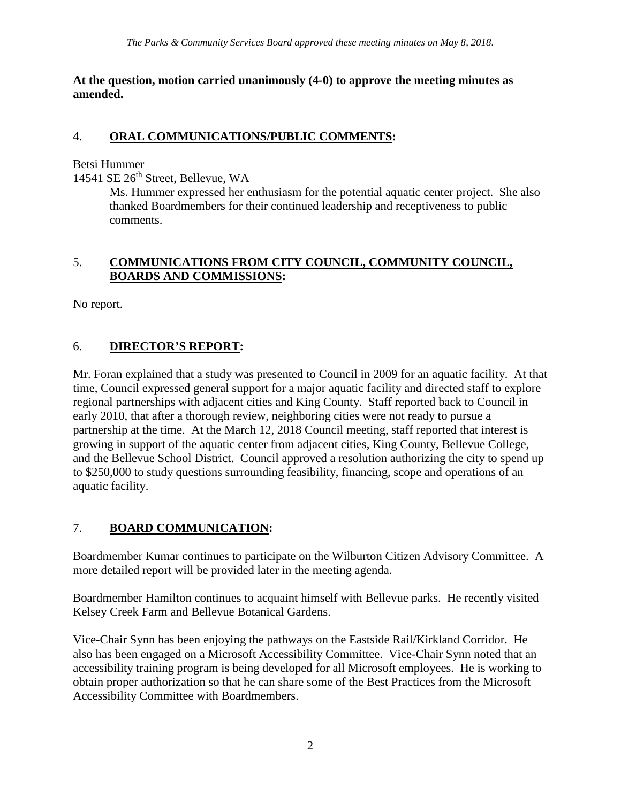**At the question, motion carried unanimously (4-0) to approve the meeting minutes as amended.** 

#### 4. **ORAL COMMUNICATIONS/PUBLIC COMMENTS:**

Betsi Hummer

14541 SE 26<sup>th</sup> Street, Bellevue, WA

Ms. Hummer expressed her enthusiasm for the potential aquatic center project. She also thanked Boardmembers for their continued leadership and receptiveness to public comments.

#### 5. **COMMUNICATIONS FROM CITY COUNCIL, COMMUNITY COUNCIL, BOARDS AND COMMISSIONS:**

No report.

## 6. **DIRECTOR'S REPORT:**

Mr. Foran explained that a study was presented to Council in 2009 for an aquatic facility. At that time, Council expressed general support for a major aquatic facility and directed staff to explore regional partnerships with adjacent cities and King County. Staff reported back to Council in early 2010, that after a thorough review, neighboring cities were not ready to pursue a partnership at the time. At the March 12, 2018 Council meeting, staff reported that interest is growing in support of the aquatic center from adjacent cities, King County, Bellevue College, and the Bellevue School District. Council approved a resolution authorizing the city to spend up to \$250,000 to study questions surrounding feasibility, financing, scope and operations of an aquatic facility.

## 7. **BOARD COMMUNICATION:**

Boardmember Kumar continues to participate on the Wilburton Citizen Advisory Committee. A more detailed report will be provided later in the meeting agenda.

Boardmember Hamilton continues to acquaint himself with Bellevue parks. He recently visited Kelsey Creek Farm and Bellevue Botanical Gardens.

Vice-Chair Synn has been enjoying the pathways on the Eastside Rail/Kirkland Corridor. He also has been engaged on a Microsoft Accessibility Committee. Vice-Chair Synn noted that an accessibility training program is being developed for all Microsoft employees. He is working to obtain proper authorization so that he can share some of the Best Practices from the Microsoft Accessibility Committee with Boardmembers.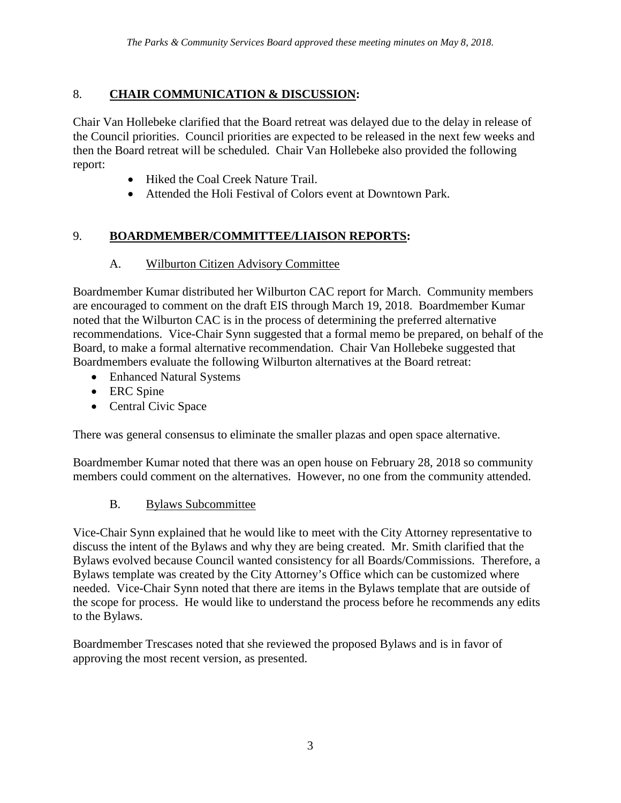# 8. **CHAIR COMMUNICATION & DISCUSSION:**

Chair Van Hollebeke clarified that the Board retreat was delayed due to the delay in release of the Council priorities. Council priorities are expected to be released in the next few weeks and then the Board retreat will be scheduled. Chair Van Hollebeke also provided the following report:

- Hiked the Coal Creek Nature Trail.
- Attended the Holi Festival of Colors event at Downtown Park.

## 9. **BOARDMEMBER/COMMITTEE/LIAISON REPORTS:**

#### A. Wilburton Citizen Advisory Committee

Boardmember Kumar distributed her Wilburton CAC report for March. Community members are encouraged to comment on the draft EIS through March 19, 2018. Boardmember Kumar noted that the Wilburton CAC is in the process of determining the preferred alternative recommendations. Vice-Chair Synn suggested that a formal memo be prepared, on behalf of the Board, to make a formal alternative recommendation. Chair Van Hollebeke suggested that Boardmembers evaluate the following Wilburton alternatives at the Board retreat:

- Enhanced Natural Systems
- ERC Spine
- Central Civic Space

There was general consensus to eliminate the smaller plazas and open space alternative.

Boardmember Kumar noted that there was an open house on February 28, 2018 so community members could comment on the alternatives. However, no one from the community attended.

## B. Bylaws Subcommittee

Vice-Chair Synn explained that he would like to meet with the City Attorney representative to discuss the intent of the Bylaws and why they are being created. Mr. Smith clarified that the Bylaws evolved because Council wanted consistency for all Boards/Commissions. Therefore, a Bylaws template was created by the City Attorney's Office which can be customized where needed. Vice-Chair Synn noted that there are items in the Bylaws template that are outside of the scope for process. He would like to understand the process before he recommends any edits to the Bylaws.

Boardmember Trescases noted that she reviewed the proposed Bylaws and is in favor of approving the most recent version, as presented.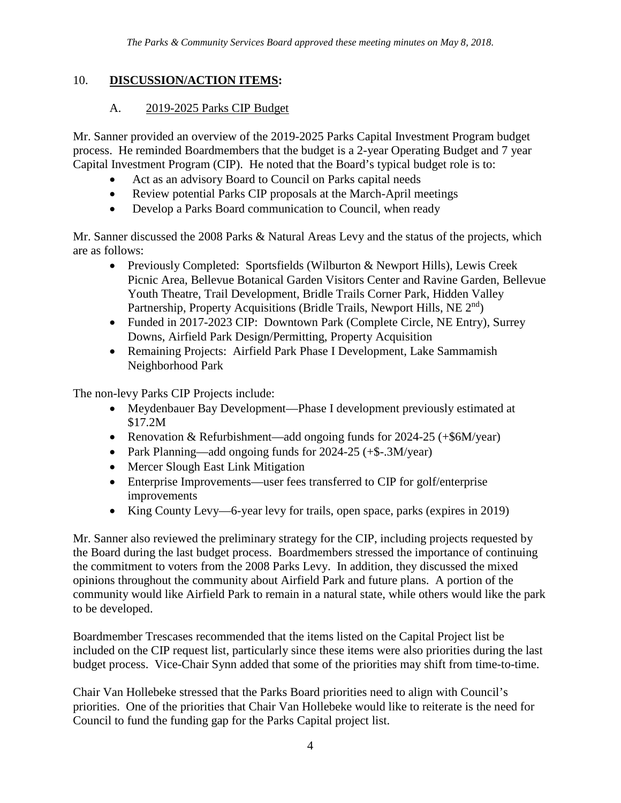#### 10. **DISCUSSION/ACTION ITEMS:**

#### A. 2019-2025 Parks CIP Budget

Mr. Sanner provided an overview of the 2019-2025 Parks Capital Investment Program budget process. He reminded Boardmembers that the budget is a 2-year Operating Budget and 7 year Capital Investment Program (CIP). He noted that the Board's typical budget role is to:

- Act as an advisory Board to Council on Parks capital needs
- Review potential Parks CIP proposals at the March-April meetings
- Develop a Parks Board communication to Council, when ready

Mr. Sanner discussed the 2008 Parks & Natural Areas Levy and the status of the projects, which are as follows:

- Previously Completed: Sportsfields (Wilburton & Newport Hills), Lewis Creek Picnic Area, Bellevue Botanical Garden Visitors Center and Ravine Garden, Bellevue Youth Theatre, Trail Development, Bridle Trails Corner Park, Hidden Valley Partnership, Property Acquisitions (Bridle Trails, Newport Hills, NE 2<sup>nd</sup>)
- Funded in 2017-2023 CIP: Downtown Park (Complete Circle, NE Entry), Surrey Downs, Airfield Park Design/Permitting, Property Acquisition
- Remaining Projects: Airfield Park Phase I Development, Lake Sammamish Neighborhood Park

The non-levy Parks CIP Projects include:

- Meydenbauer Bay Development—Phase I development previously estimated at \$17.2M
- Renovation & Refurbishment—add ongoing funds for 2024-25 (+\$6M/year)
- Park Planning—add ongoing funds for 2024-25 (+\$-.3M/year)
- Mercer Slough East Link Mitigation
- Enterprise Improvements—user fees transferred to CIP for golf/enterprise improvements
- King County Levy—6-year levy for trails, open space, parks (expires in 2019)

Mr. Sanner also reviewed the preliminary strategy for the CIP, including projects requested by the Board during the last budget process. Boardmembers stressed the importance of continuing the commitment to voters from the 2008 Parks Levy. In addition, they discussed the mixed opinions throughout the community about Airfield Park and future plans. A portion of the community would like Airfield Park to remain in a natural state, while others would like the park to be developed.

Boardmember Trescases recommended that the items listed on the Capital Project list be included on the CIP request list, particularly since these items were also priorities during the last budget process. Vice-Chair Synn added that some of the priorities may shift from time-to-time.

Chair Van Hollebeke stressed that the Parks Board priorities need to align with Council's priorities. One of the priorities that Chair Van Hollebeke would like to reiterate is the need for Council to fund the funding gap for the Parks Capital project list.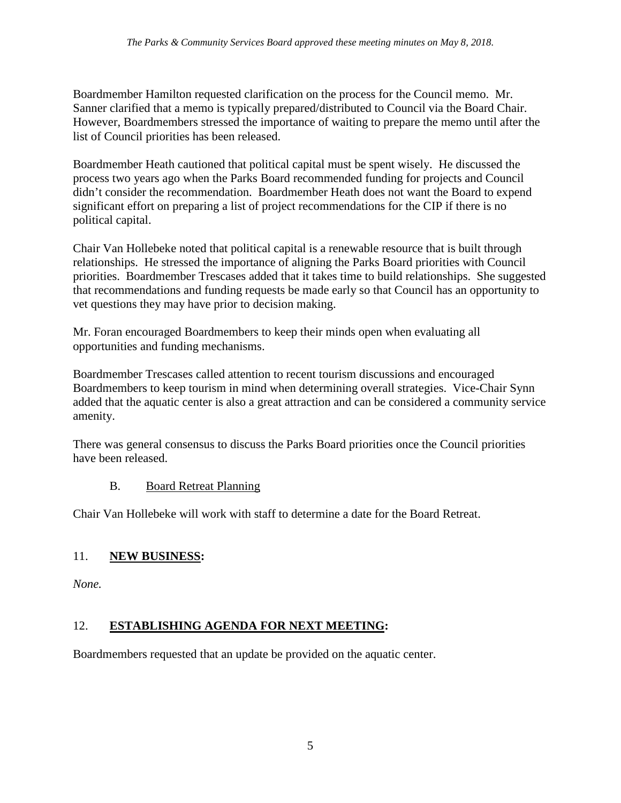Boardmember Hamilton requested clarification on the process for the Council memo. Mr. Sanner clarified that a memo is typically prepared/distributed to Council via the Board Chair. However, Boardmembers stressed the importance of waiting to prepare the memo until after the list of Council priorities has been released.

Boardmember Heath cautioned that political capital must be spent wisely. He discussed the process two years ago when the Parks Board recommended funding for projects and Council didn't consider the recommendation. Boardmember Heath does not want the Board to expend significant effort on preparing a list of project recommendations for the CIP if there is no political capital.

Chair Van Hollebeke noted that political capital is a renewable resource that is built through relationships. He stressed the importance of aligning the Parks Board priorities with Council priorities. Boardmember Trescases added that it takes time to build relationships. She suggested that recommendations and funding requests be made early so that Council has an opportunity to vet questions they may have prior to decision making.

Mr. Foran encouraged Boardmembers to keep their minds open when evaluating all opportunities and funding mechanisms.

Boardmember Trescases called attention to recent tourism discussions and encouraged Boardmembers to keep tourism in mind when determining overall strategies. Vice-Chair Synn added that the aquatic center is also a great attraction and can be considered a community service amenity.

There was general consensus to discuss the Parks Board priorities once the Council priorities have been released.

## B. Board Retreat Planning

Chair Van Hollebeke will work with staff to determine a date for the Board Retreat.

## 11. **NEW BUSINESS:**

*None.*

## 12. **ESTABLISHING AGENDA FOR NEXT MEETING:**

Boardmembers requested that an update be provided on the aquatic center.